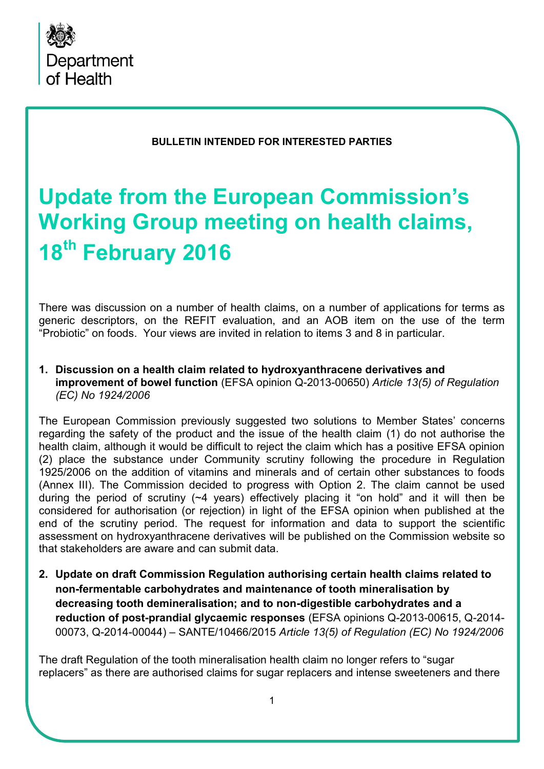

#### **BULLETIN INTENDED FOR INTERESTED PARTIES**

# **Update from the European Commission's Working Group meeting on health claims, 18th February 2016**

There was discussion on a number of health claims, on a number of applications for terms as generic descriptors, on the REFIT evaluation, and an AOB item on the use of the term "Probiotic" on foods. Your views are invited in relation to items 3 and 8 in particular.

#### **1. Discussion on a health claim related to hydroxyanthracene derivatives and improvement of bowel function** (EFSA opinion Q-2013-00650) *Article 13(5) of Regulation (EC) No 1924/2006*

The European Commission previously suggested two solutions to Member States' concerns regarding the safety of the product and the issue of the health claim (1) do not authorise the health claim, although it would be difficult to reject the claim which has a positive EFSA opinion (2) place the substance under Community scrutiny following the procedure in Regulation 1925/2006 on the addition of vitamins and minerals and of certain other substances to foods (Annex III). The Commission decided to progress with Option 2. The claim cannot be used during the period of scrutiny (~4 years) effectively placing it "on hold" and it will then be considered for authorisation (or rejection) in light of the EFSA opinion when published at the end of the scrutiny period. The request for information and data to support the scientific assessment on hydroxyanthracene derivatives will be published on the Commission website so that stakeholders are aware and can submit data.

**2. Update on draft Commission Regulation authorising certain health claims related to non-fermentable carbohydrates and maintenance of tooth mineralisation by decreasing tooth demineralisation; and to non-digestible carbohydrates and a reduction of post-prandial glycaemic responses** (EFSA opinions Q-2013-00615, Q-2014- 00073, Q-2014-00044) – SANTE/10466/2015 *Article 13(5) of Regulation (EC) No 1924/2006*

The draft Regulation of the tooth mineralisation health claim no longer refers to "sugar replacers" as there are authorised claims for sugar replacers and intense sweeteners and there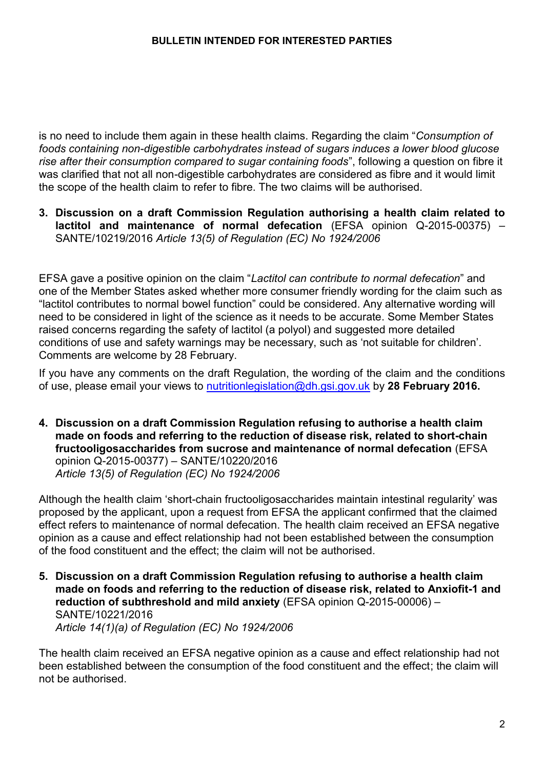is no need to include them again in these health claims. Regarding the claim "*Consumption of foods containing non-digestible carbohydrates instead of sugars induces a lower blood glucose rise after their consumption compared to sugar containing foods*", following a question on fibre it was clarified that not all non-digestible carbohydrates are considered as fibre and it would limit the scope of the health claim to refer to fibre. The two claims will be authorised.

**3. Discussion on a draft Commission Regulation authorising a health claim related to lactitol and maintenance of normal defecation** (EFSA opinion Q-2015-00375) – SANTE/10219/2016 *Article 13(5) of Regulation (EC) No 1924/2006*

EFSA gave a positive opinion on the claim "*Lactitol can contribute to normal defecation*" and one of the Member States asked whether more consumer friendly wording for the claim such as "lactitol contributes to normal bowel function" could be considered. Any alternative wording will need to be considered in light of the science as it needs to be accurate. Some Member States raised concerns regarding the safety of lactitol (a polyol) and suggested more detailed conditions of use and safety warnings may be necessary, such as 'not suitable for children'. Comments are welcome by 28 February.

If you have any comments on the draft Regulation, the wording of the claim and the conditions of use, please email your views to [nutritionlegislation@dh.gsi.gov.uk](mailto:nutritionlegislation@dh.gsi.gov.uk) by **28 February 2016.** 

**4. Discussion on a draft Commission Regulation refusing to authorise a health claim made on foods and referring to the reduction of disease risk, related to short-chain fructooligosaccharides from sucrose and maintenance of normal defecation** (EFSA opinion Q-2015-00377) – SANTE/10220/2016 *Article 13(5) of Regulation (EC) No 1924/2006*

Although the health claim 'short-chain fructooligosaccharides maintain intestinal regularity' was proposed by the applicant, upon a request from EFSA the applicant confirmed that the claimed effect refers to maintenance of normal defecation. The health claim received an EFSA negative opinion as a cause and effect relationship had not been established between the consumption of the food constituent and the effect; the claim will not be authorised.

**5. Discussion on a draft Commission Regulation refusing to authorise a health claim made on foods and referring to the reduction of disease risk, related to Anxiofit-1 and reduction of subthreshold and mild anxiety** (EFSA opinion Q-2015-00006) – SANTE/10221/2016 *Article 14(1)(a) of Regulation (EC) No 1924/2006*

The health claim received an EFSA negative opinion as a cause and effect relationship had not been established between the consumption of the food constituent and the effect; the claim will not be authorised.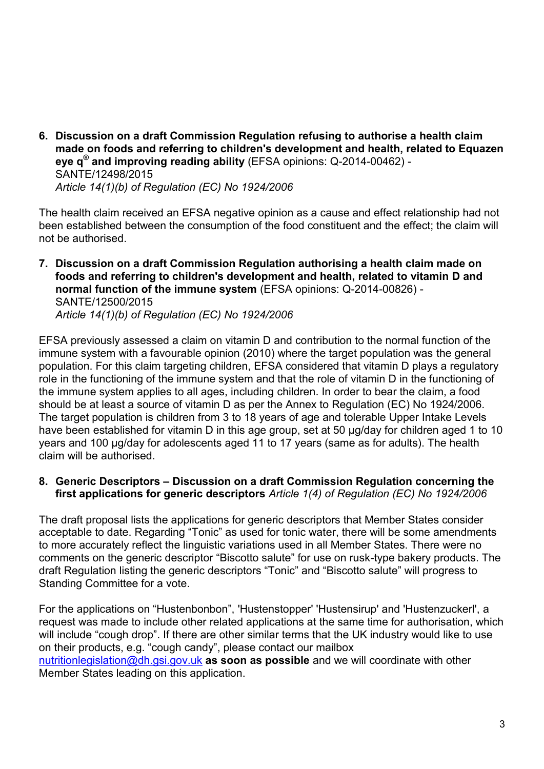**6. Discussion on a draft Commission Regulation refusing to authorise a health claim made on foods and referring to children's development and health, related to Equazen eye q® and improving reading ability** (EFSA opinions: Q-2014-00462) - SANTE/12498/2015 *Article 14(1)(b) of Regulation (EC) No 1924/2006* 

The health claim received an EFSA negative opinion as a cause and effect relationship had not been established between the consumption of the food constituent and the effect; the claim will not be authorised.

**7. Discussion on a draft Commission Regulation authorising a health claim made on foods and referring to children's development and health, related to vitamin D and normal function of the immune system** (EFSA opinions: Q-2014-00826) - SANTE/12500/2015 *Article 14(1)(b) of Regulation (EC) No 1924/2006* 

EFSA previously assessed a claim on vitamin D and contribution to the normal function of the immune system with a favourable opinion (2010) where the target population was the general population. For this claim targeting children, EFSA considered that vitamin D plays a regulatory role in the functioning of the immune system and that the role of vitamin D in the functioning of the immune system applies to all ages, including children. In order to bear the claim, a food should be at least a source of vitamin D as per the Annex to Regulation (EC) No 1924/2006. The target population is children from 3 to 18 years of age and tolerable Upper Intake Levels have been established for vitamin D in this age group, set at 50 µg/day for children aged 1 to 10 years and 100 μg/day for adolescents aged 11 to 17 years (same as for adults). The health claim will be authorised.

**8. Generic Descriptors – Discussion on a draft Commission Regulation concerning the first applications for generic descriptors** *Article 1(4) of Regulation (EC) No 1924/2006*

The draft proposal lists the applications for generic descriptors that Member States consider acceptable to date. Regarding "Tonic" as used for tonic water, there will be some amendments to more accurately reflect the linguistic variations used in all Member States. There were no comments on the generic descriptor "Biscotto salute" for use on rusk-type bakery products. The draft Regulation listing the generic descriptors "Tonic" and "Biscotto salute" will progress to Standing Committee for a vote.

For the applications on "Hustenbonbon", 'Hustenstopper' 'Hustensirup' and 'Hustenzuckerl', a request was made to include other related applications at the same time for authorisation, which will include "cough drop". If there are other similar terms that the UK industry would like to use on their products, e.g. "cough candy", please contact our mailbox [nutritionlegislation@dh.gsi.gov.uk](mailto:nutritionlegislation@dh.gsi.gov.uk) **as soon as possible** and we will coordinate with other

Member States leading on this application.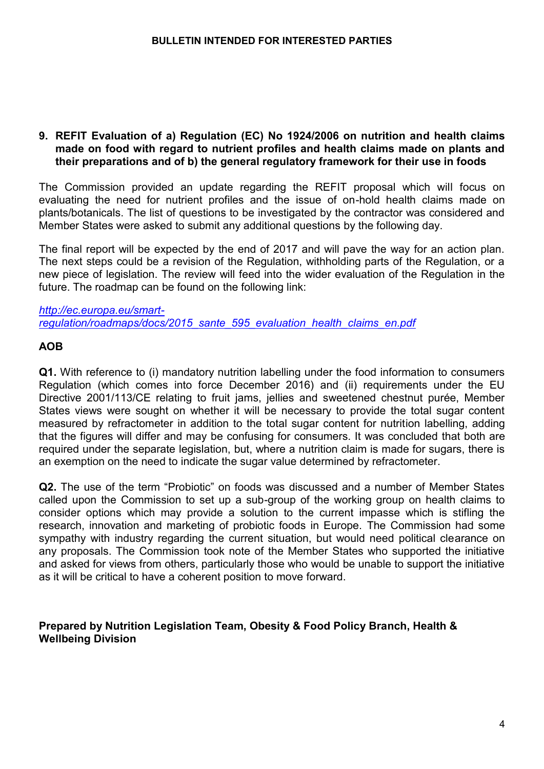### **9. REFIT Evaluation of a) Regulation (EC) No 1924/2006 on nutrition and health claims made on food with regard to nutrient profiles and health claims made on plants and their preparations and of b) the general regulatory framework for their use in foods**

The Commission provided an update regarding the REFIT proposal which will focus on evaluating the need for nutrient profiles and the issue of on-hold health claims made on plants/botanicals. The list of questions to be investigated by the contractor was considered and Member States were asked to submit any additional questions by the following day.

The final report will be expected by the end of 2017 and will pave the way for an action plan. The next steps could be a revision of the Regulation, withholding parts of the Regulation, or a new piece of legislation. The review will feed into the wider evaluation of the Regulation in the future. The roadmap can be found on the following link:

*[http://ec.europa.eu/smart](http://ec.europa.eu/smart-regulation/roadmaps/docs/2015_sante_595_evaluation_health_claims_en.pdf)[regulation/roadmaps/docs/2015\\_sante\\_595\\_evaluation\\_health\\_claims\\_en.pdf](http://ec.europa.eu/smart-regulation/roadmaps/docs/2015_sante_595_evaluation_health_claims_en.pdf)*

# **AOB**

**Q1.** With reference to (i) mandatory nutrition labelling under the food information to consumers Regulation (which comes into force December 2016) and (ii) requirements under the EU Directive 2001/113/CE relating to fruit jams, jellies and sweetened chestnut purée, Member States views were sought on whether it will be necessary to provide the total sugar content measured by refractometer in addition to the total sugar content for nutrition labelling, adding that the figures will differ and may be confusing for consumers. It was concluded that both are required under the separate legislation, but, where a nutrition claim is made for sugars, there is an exemption on the need to indicate the sugar value determined by refractometer.

**Q2.** The use of the term "Probiotic" on foods was discussed and a number of Member States called upon the Commission to set up a sub-group of the working group on health claims to consider options which may provide a solution to the current impasse which is stifling the research, innovation and marketing of probiotic foods in Europe. The Commission had some sympathy with industry regarding the current situation, but would need political clearance on any proposals. The Commission took note of the Member States who supported the initiative and asked for views from others, particularly those who would be unable to support the initiative as it will be critical to have a coherent position to move forward.

## **Prepared by Nutrition Legislation Team, Obesity & Food Policy Branch, Health & Wellbeing Division**